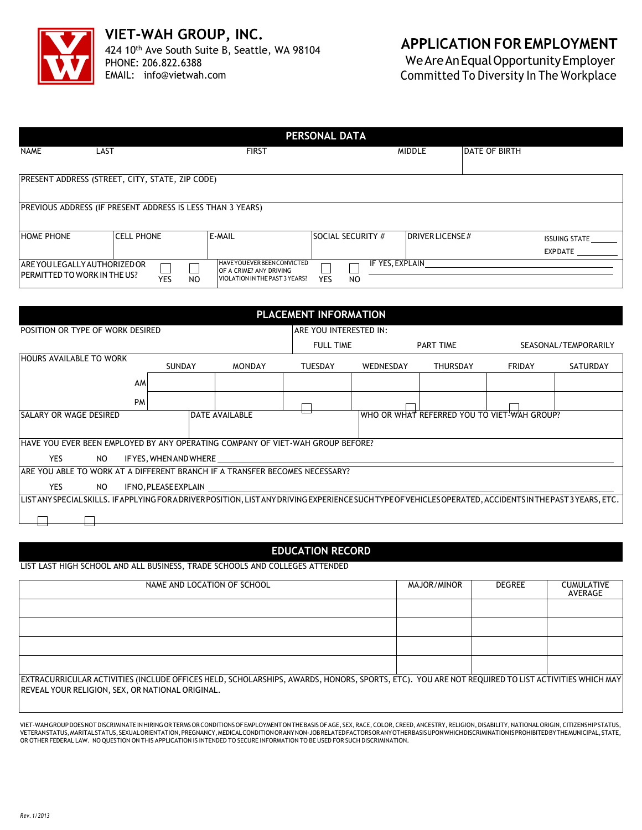

## **APPLICATION FOR EMPLOYMENT**

WeAreAnEqualOpportunityEmployer Committed To Diversity In The Workplace

| <b>PERSONAL DATA</b>                                            |                                                            |                                                           |                          |                         |                      |                      |  |
|-----------------------------------------------------------------|------------------------------------------------------------|-----------------------------------------------------------|--------------------------|-------------------------|----------------------|----------------------|--|
| <b>NAME</b>                                                     | LAST                                                       | <b>FIRST</b>                                              | <b>MIDDLE</b>            |                         | <b>DATE OF BIRTH</b> |                      |  |
|                                                                 |                                                            |                                                           |                          |                         |                      |                      |  |
|                                                                 | PRESENT ADDRESS (STREET, CITY, STATE, ZIP CODE)            |                                                           |                          |                         |                      |                      |  |
|                                                                 | PREVIOUS ADDRESS (IF PRESENT ADDRESS IS LESS THAN 3 YEARS) |                                                           |                          |                         |                      |                      |  |
|                                                                 |                                                            |                                                           |                          |                         |                      |                      |  |
| <b>HOME PHONE</b>                                               | <b>CELL PHONE</b>                                          | E-MAIL                                                    | <b>SOCIAL SECURITY #</b> | <b>IDRIVER LICENSE#</b> |                      | <b>ISSUING STATE</b> |  |
|                                                                 |                                                            |                                                           |                          |                         |                      | <b>EXPDATE</b>       |  |
| ARE YOU LEGALLY AUTHORIZED OR<br>I PERMITTED TO WORK IN THE US? | YES<br>NO                                                  | OF A CRIME? ANY DRIVING<br>VIOLATION IN THE PAST 3 YEARS? | YES<br>N <sub>O</sub>    |                         |                      |                      |  |
|                                                                 |                                                            | <b>HAVEYOU EVERBEEN CONVICTED</b>                         | IF YES, EXPLAIN          |                         |                      |                      |  |

| PLACEMENT INFORMATION                                                                                                                                     |           |        |                  |                                              |                  |        |                      |  |
|-----------------------------------------------------------------------------------------------------------------------------------------------------------|-----------|--------|------------------|----------------------------------------------|------------------|--------|----------------------|--|
| POSITION OR TYPE OF WORK DESIRED                                                                                                                          |           |        |                  | IARE YOU INTERESTED IN:                      |                  |        |                      |  |
|                                                                                                                                                           |           |        | <b>FULL TIME</b> |                                              | <b>PART TIME</b> |        | SEASONAL/TEMPORARILY |  |
| <b>HOURS AVAILABLE TO WORK</b><br><b>SUNDAY</b>                                                                                                           |           | MONDAY | TUESDAY          | WEDNESDAY                                    | <b>THURSDAY</b>  | FRIDAY | SATURDAY             |  |
|                                                                                                                                                           | AM        |        |                  |                                              |                  |        |                      |  |
|                                                                                                                                                           | <b>PM</b> |        |                  |                                              |                  |        |                      |  |
| <b>DATE AVAILABLE</b><br><b>SALARY OR WAGE DESIRED</b>                                                                                                    |           |        |                  | IWHO OR WHAT REFERRED YOU TO VIET-WAH GROUP? |                  |        |                      |  |
| HAVE YOU EVER BEEN EMPLOYED BY ANY OPERATING COMPANY OF VIET-WAH GROUP BEFORE?                                                                            |           |        |                  |                                              |                  |        |                      |  |
| YES.<br>NO.<br>IF YES, WHEN AND WHERE __________________                                                                                                  |           |        |                  |                                              |                  |        |                      |  |
| ARE YOU ABLE TO WORK AT A DIFFERENT BRANCH IF A TRANSFER BECOMES NECESSARY?                                                                               |           |        |                  |                                              |                  |        |                      |  |
| <b>YES</b><br>NO<br>IFNO, PLEASE EXPLAIN                                                                                                                  |           |        |                  |                                              |                  |        |                      |  |
| LISTANY SPECIAL SKILLS. IF APPLYING FOR A DRIVER POSITION, LISTANY DRIVING EXPERIENCE SUCH TYPE OF VEHICLES OPERATED, ACCIDENTS IN THE PAST 3 YEARS, ETC. |           |        |                  |                                              |                  |        |                      |  |
|                                                                                                                                                           |           |        |                  |                                              |                  |        |                      |  |

## **EDUCATION RECORD**

LIST LAST HIGH SCHOOL AND ALL BUSINESS, TRADE SCHOOLS AND COLLEGES ATTENDED

| NAME AND LOCATION OF SCHOOL                                                                                                                                                                                | MAJOR/MINOR | DEGREE | <b>CUMULATIVE</b><br>AVERAGE |  |  |  |
|------------------------------------------------------------------------------------------------------------------------------------------------------------------------------------------------------------|-------------|--------|------------------------------|--|--|--|
|                                                                                                                                                                                                            |             |        |                              |  |  |  |
|                                                                                                                                                                                                            |             |        |                              |  |  |  |
|                                                                                                                                                                                                            |             |        |                              |  |  |  |
|                                                                                                                                                                                                            |             |        |                              |  |  |  |
| EXTRACURRICULAR ACTIVITIES (INCLUDE OFFICES HELD, SCHOLARSHIPS, AWARDS, HONORS, SPORTS, ETC). YOU ARE NOT REQUIRED TO LIST ACTIVITIES WHICH MAY<br><b>REVEAL YOUR RELIGION, SEX, OR NATIONAL ORIGINAL.</b> |             |        |                              |  |  |  |

VIET-WAHGROUPDOESNOTDISCRIMINATEINHIRINGORTERMSORCONDITIONSOFEMPLOYMENTONTHEBASISOFAGE, SEX,RACE,COLOR,CREED,ANCESTRY,RELIGION,DISABILITY,NATIONALORIGIN,CITIZENSHIPSTATUS, VETERANSTATUS,MARITALSTATUS,SEXUALORIENTATION,PREGNANCY,MEDICALCONDITIONORANYNON-JOBRELATEDFACTORSORANYOTHERBASISUPONWHICHDISCRIMINATIONISPROHIBITEDBYTHEMUNICIPAL,STATE, OR OTHER FEDERAL LAW. NO QUESTION ON THIS APPLICATION IS INTENDED TO SECURE INFORMATION TO BE USED FOR SUCH DISCRIMINATION.